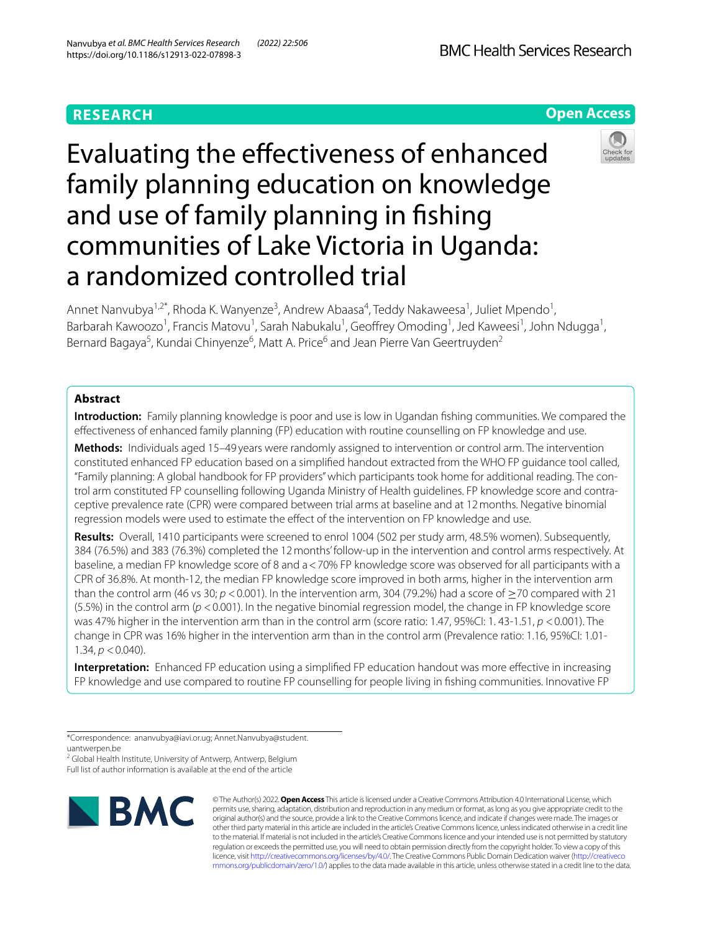# **RESEARCH**

# **Open Access**



# Evaluating the efectiveness of enhanced family planning education on knowledge and use of family planning in fshing communities of Lake Victoria in Uganda: a randomized controlled trial

Annet Nanvubya<sup>1,2\*</sup>, Rhoda K. Wanyenze<sup>3</sup>, Andrew Abaasa<sup>4</sup>, Teddy Nakaweesa<sup>1</sup>, Juliet Mpendo<sup>1</sup>, Barbarah Kawoozo<sup>1</sup>, Francis Matovu<sup>1</sup>, Sarah Nabukalu<sup>1</sup>, Geoffrey Omoding<sup>1</sup>, Jed Kaweesi<sup>1</sup>, John Ndugga<sup>1</sup>, Bernard Bagaya<sup>5</sup>, Kundai Chinyenze<sup>6</sup>, Matt A. Price<sup>6</sup> and Jean Pierre Van Geertruyden<sup>2</sup>

# **Abstract**

**Introduction:** Family planning knowledge is poor and use is low in Ugandan fshing communities. We compared the efectiveness of enhanced family planning (FP) education with routine counselling on FP knowledge and use.

**Methods:** Individuals aged 15–49 years were randomly assigned to intervention or control arm. The intervention constituted enhanced FP education based on a simplifed handout extracted from the WHO FP guidance tool called, "Family planning: A global handbook for FP providers" which participants took home for additional reading. The control arm constituted FP counselling following Uganda Ministry of Health guidelines. FP knowledge score and contraceptive prevalence rate (CPR) were compared between trial arms at baseline and at 12months. Negative binomial regression models were used to estimate the effect of the intervention on FP knowledge and use.

**Results:** Overall, 1410 participants were screened to enrol 1004 (502 per study arm, 48.5% women). Subsequently, 384 (76.5%) and 383 (76.3%) completed the 12months' follow-up in the intervention and control arms respectively. At baseline, a median FP knowledge score of 8 and a<70% FP knowledge score was observed for all participants with a CPR of 36.8%. At month-12, the median FP knowledge score improved in both arms, higher in the intervention arm than the control arm (46 vs 30;  $p < 0.001$ ). In the intervention arm, 304 (79.2%) had a score of  $>$ 70 compared with 21 (5.5%) in the control arm (*p* <0.001). In the negative binomial regression model, the change in FP knowledge score was 47% higher in the intervention arm than in the control arm (score ratio: 1.47, 95%CI: 1. 43-1.51, *p* <0.001). The change in CPR was 16% higher in the intervention arm than in the control arm (Prevalence ratio: 1.16, 95%CI: 1.01-1.34,  $p < 0.040$ ).

**Interpretation:** Enhanced FP education using a simplifed FP education handout was more efective in increasing FP knowledge and use compared to routine FP counselling for people living in fshing communities. Innovative FP

\*Correspondence: ananvubya@iavi.or.ug; Annet.Nanvubya@student. uantwerpen.be

<sup>2</sup> Global Health Institute, University of Antwerp, Antwerp, Belgium Full list of author information is available at the end of the article



© The Author(s) 2022. **Open Access** This article is licensed under a Creative Commons Attribution 4.0 International License, which permits use, sharing, adaptation, distribution and reproduction in any medium or format, as long as you give appropriate credit to the original author(s) and the source, provide a link to the Creative Commons licence, and indicate if changes were made. The images or other third party material in this article are included in the article's Creative Commons licence, unless indicated otherwise in a credit line to the material. If material is not included in the article's Creative Commons licence and your intended use is not permitted by statutory regulation or exceeds the permitted use, you will need to obtain permission directly from the copyright holder. To view a copy of this licence, visit [http://creativecommons.org/licenses/by/4.0/.](http://creativecommons.org/licenses/by/4.0/) The Creative Commons Public Domain Dedication waiver ([http://creativeco](http://creativecommons.org/publicdomain/zero/1.0/) [mmons.org/publicdomain/zero/1.0/](http://creativecommons.org/publicdomain/zero/1.0/)) applies to the data made available in this article, unless otherwise stated in a credit line to the data.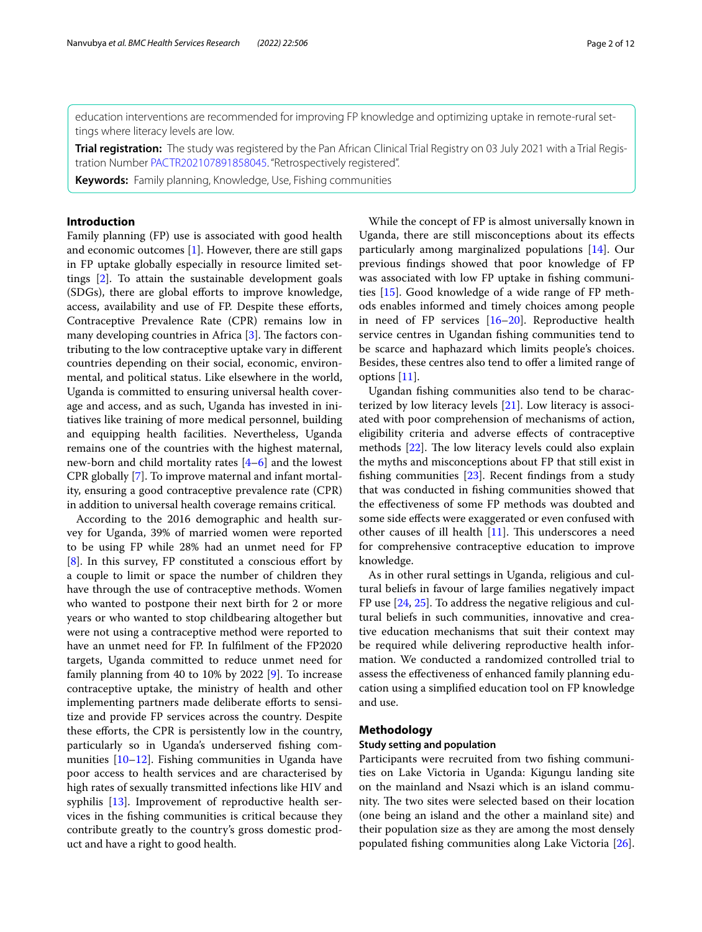education interventions are recommended for improving FP knowledge and optimizing uptake in remote-rural settings where literacy levels are low.

**Trial registration:** The study was registered by the Pan African Clinical Trial Registry on 03 July 2021 with a Trial Registration Number [PACTR202107891858045.](https://pactr.samrc.ac.za/) "Retrospectively registered".

**Keywords:** Family planning, Knowledge, Use, Fishing communities

## **Introduction**

Family planning (FP) use is associated with good health and economic outcomes [\[1](#page-10-0)]. However, there are still gaps in FP uptake globally especially in resource limited settings [[2\]](#page-10-1). To attain the sustainable development goals (SDGs), there are global efforts to improve knowledge, access, availability and use of FP. Despite these efforts, Contraceptive Prevalence Rate (CPR) remains low in many developing countries in Africa  $[3]$ . The factors contributing to the low contraceptive uptake vary in diferent countries depending on their social, economic, environmental, and political status. Like elsewhere in the world, Uganda is committed to ensuring universal health coverage and access, and as such, Uganda has invested in initiatives like training of more medical personnel, building and equipping health facilities. Nevertheless, Uganda remains one of the countries with the highest maternal, new-born and child mortality rates [\[4](#page-10-3)[–6\]](#page-10-4) and the lowest CPR globally [[7\]](#page-10-5). To improve maternal and infant mortality, ensuring a good contraceptive prevalence rate (CPR) in addition to universal health coverage remains critical.

According to the 2016 demographic and health survey for Uganda, 39% of married women were reported to be using FP while 28% had an unmet need for FP [[8\]](#page-10-6). In this survey, FP constituted a conscious effort by a couple to limit or space the number of children they have through the use of contraceptive methods. Women who wanted to postpone their next birth for 2 or more years or who wanted to stop childbearing altogether but were not using a contraceptive method were reported to have an unmet need for FP. In fulflment of the FP2020 targets, Uganda committed to reduce unmet need for family planning from 40 to 10% by 2022 [[9\]](#page-10-7). To increase contraceptive uptake, the ministry of health and other implementing partners made deliberate eforts to sensitize and provide FP services across the country. Despite these eforts, the CPR is persistently low in the country, particularly so in Uganda's underserved fshing communities [\[10](#page-10-8)[–12\]](#page-10-9). Fishing communities in Uganda have poor access to health services and are characterised by high rates of sexually transmitted infections like HIV and syphilis [\[13](#page-10-10)]. Improvement of reproductive health services in the fshing communities is critical because they contribute greatly to the country's gross domestic product and have a right to good health.

While the concept of FP is almost universally known in Uganda, there are still misconceptions about its efects particularly among marginalized populations [\[14\]](#page-11-0). Our previous fndings showed that poor knowledge of FP was associated with low FP uptake in fshing communities [[15](#page-11-1)]. Good knowledge of a wide range of FP methods enables informed and timely choices among people in need of FP services [[16–](#page-11-2)[20](#page-11-3)]. Reproductive health service centres in Ugandan fshing communities tend to be scarce and haphazard which limits people's choices. Besides, these centres also tend to offer a limited range of options [[11\]](#page-10-11).

Ugandan fshing communities also tend to be characterized by low literacy levels [[21](#page-11-4)]. Low literacy is associated with poor comprehension of mechanisms of action, eligibility criteria and adverse efects of contraceptive methods  $[22]$  $[22]$ . The low literacy levels could also explain the myths and misconceptions about FP that still exist in fshing communities [[23](#page-11-6)]. Recent fndings from a study that was conducted in fshing communities showed that the efectiveness of some FP methods was doubted and some side efects were exaggerated or even confused with other causes of ill health  $[11]$  $[11]$ . This underscores a need for comprehensive contraceptive education to improve knowledge.

As in other rural settings in Uganda, religious and cultural beliefs in favour of large families negatively impact FP use [\[24](#page-11-7), [25\]](#page-11-8). To address the negative religious and cultural beliefs in such communities, innovative and creative education mechanisms that suit their context may be required while delivering reproductive health information. We conducted a randomized controlled trial to assess the efectiveness of enhanced family planning education using a simplifed education tool on FP knowledge and use.

### **Methodology**

### **Study setting and population**

Participants were recruited from two fshing communities on Lake Victoria in Uganda: Kigungu landing site on the mainland and Nsazi which is an island community. The two sites were selected based on their location (one being an island and the other a mainland site) and their population size as they are among the most densely populated fshing communities along Lake Victoria [\[26](#page-11-9)].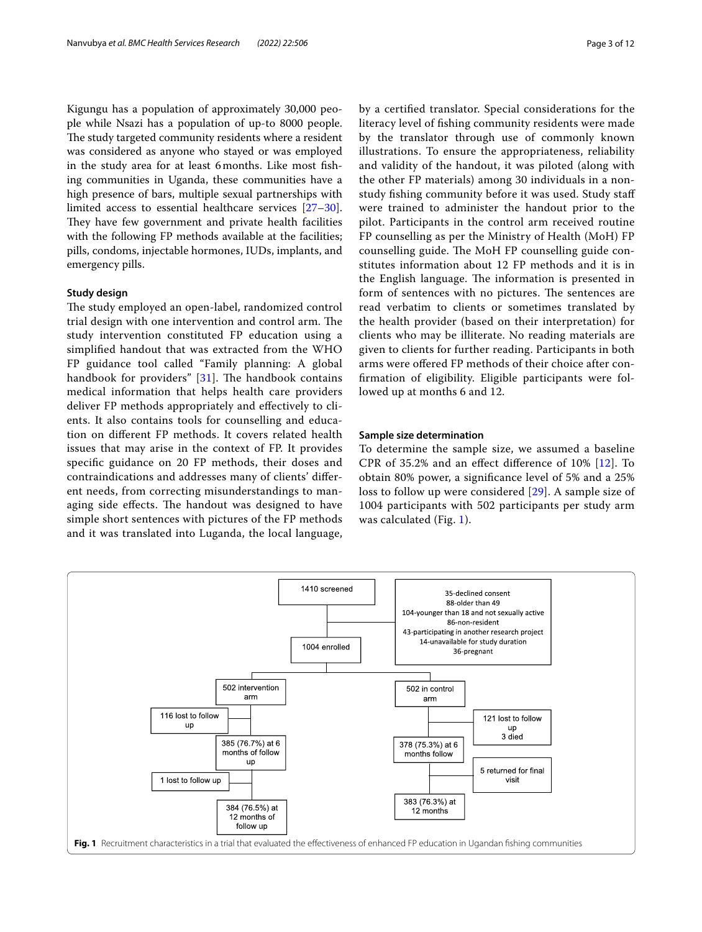Kigungu has a population of approximately 30,000 people while Nsazi has a population of up-to 8000 people. The study targeted community residents where a resident was considered as anyone who stayed or was employed in the study area for at least 6months. Like most fshing communities in Uganda, these communities have a high presence of bars, multiple sexual partnerships with limited access to essential healthcare services [[27](#page-11-10)[–30](#page-11-11)]. They have few government and private health facilities with the following FP methods available at the facilities; pills, condoms, injectable hormones, IUDs, implants, and emergency pills.

### **Study design**

The study employed an open-label, randomized control trial design with one intervention and control arm. The study intervention constituted FP education using a simplifed handout that was extracted from the WHO FP guidance tool called "Family planning: A global handbook for providers"  $[31]$  $[31]$ . The handbook contains medical information that helps health care providers deliver FP methods appropriately and efectively to clients. It also contains tools for counselling and education on diferent FP methods. It covers related health issues that may arise in the context of FP. It provides specifc guidance on 20 FP methods, their doses and contraindications and addresses many of clients' diferent needs, from correcting misunderstandings to managing side effects. The handout was designed to have simple short sentences with pictures of the FP methods and it was translated into Luganda, the local language, by a certifed translator. Special considerations for the literacy level of fshing community residents were made by the translator through use of commonly known illustrations. To ensure the appropriateness, reliability and validity of the handout, it was piloted (along with the other FP materials) among 30 individuals in a nonstudy fshing community before it was used. Study staf were trained to administer the handout prior to the pilot. Participants in the control arm received routine FP counselling as per the Ministry of Health (MoH) FP counselling guide. The MoH FP counselling guide constitutes information about 12 FP methods and it is in the English language. The information is presented in form of sentences with no pictures. The sentences are read verbatim to clients or sometimes translated by the health provider (based on their interpretation) for clients who may be illiterate. No reading materials are given to clients for further reading. Participants in both arms were ofered FP methods of their choice after confrmation of eligibility. Eligible participants were followed up at months 6 and 12.

# **Sample size determination**

To determine the sample size, we assumed a baseline CPR of 35.2% and an efect diference of 10% [\[12](#page-10-9)]. To obtain 80% power, a signifcance level of 5% and a 25% loss to follow up were considered [\[29\]](#page-11-13). A sample size of 1004 participants with 502 participants per study arm was calculated (Fig. [1](#page-2-0)).

<span id="page-2-0"></span>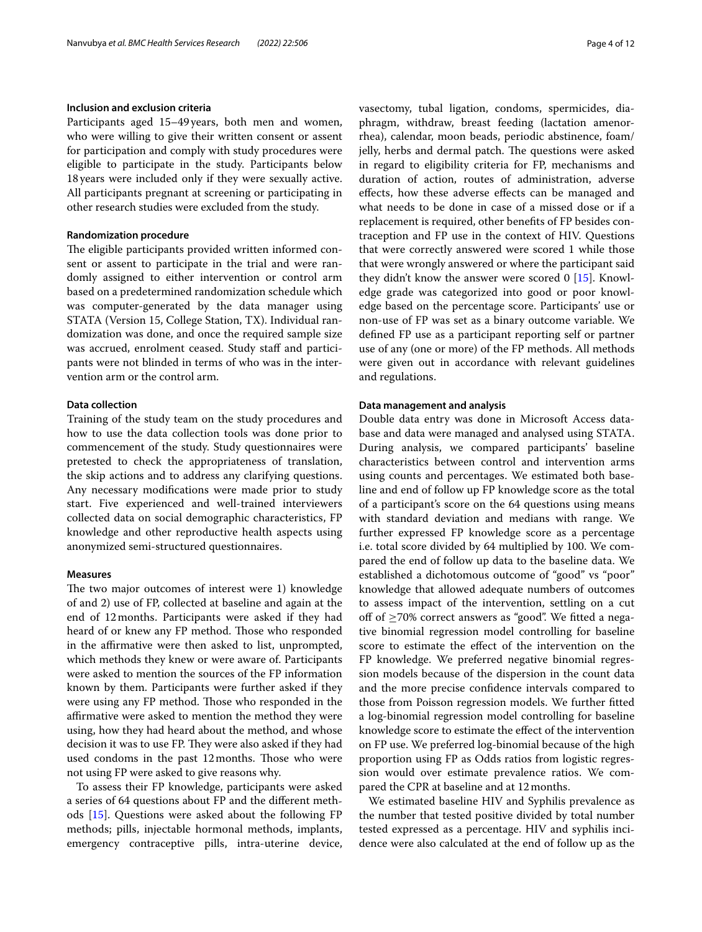### **Inclusion and exclusion criteria**

Participants aged 15–49years, both men and women, who were willing to give their written consent or assent for participation and comply with study procedures were eligible to participate in the study. Participants below 18years were included only if they were sexually active. All participants pregnant at screening or participating in other research studies were excluded from the study.

### **Randomization procedure**

The eligible participants provided written informed consent or assent to participate in the trial and were randomly assigned to either intervention or control arm based on a predetermined randomization schedule which was computer-generated by the data manager using STATA (Version 15, College Station, TX). Individual randomization was done, and once the required sample size was accrued, enrolment ceased. Study staff and participants were not blinded in terms of who was in the intervention arm or the control arm.

# **Data collection**

Training of the study team on the study procedures and how to use the data collection tools was done prior to commencement of the study. Study questionnaires were pretested to check the appropriateness of translation, the skip actions and to address any clarifying questions. Any necessary modifcations were made prior to study start. Five experienced and well-trained interviewers collected data on social demographic characteristics, FP knowledge and other reproductive health aspects using anonymized semi-structured questionnaires.

### **Measures**

The two major outcomes of interest were 1) knowledge of and 2) use of FP, collected at baseline and again at the end of 12months. Participants were asked if they had heard of or knew any FP method. Those who responded in the affirmative were then asked to list, unprompted, which methods they knew or were aware of. Participants were asked to mention the sources of the FP information known by them. Participants were further asked if they were using any FP method. Those who responded in the afrmative were asked to mention the method they were using, how they had heard about the method, and whose decision it was to use FP. They were also asked if they had used condoms in the past 12 months. Those who were not using FP were asked to give reasons why.

To assess their FP knowledge, participants were asked a series of 64 questions about FP and the diferent methods [\[15](#page-11-1)]. Questions were asked about the following FP methods; pills, injectable hormonal methods, implants, emergency contraceptive pills, intra-uterine device, vasectomy, tubal ligation, condoms, spermicides, diaphragm, withdraw, breast feeding (lactation amenorrhea), calendar, moon beads, periodic abstinence, foam/ jelly, herbs and dermal patch. The questions were asked in regard to eligibility criteria for FP, mechanisms and duration of action, routes of administration, adverse efects, how these adverse efects can be managed and what needs to be done in case of a missed dose or if a replacement is required, other benefts of FP besides contraception and FP use in the context of HIV. Questions that were correctly answered were scored 1 while those that were wrongly answered or where the participant said they didn't know the answer were scored 0 [[15\]](#page-11-1). Knowledge grade was categorized into good or poor knowledge based on the percentage score. Participants' use or non-use of FP was set as a binary outcome variable. We defned FP use as a participant reporting self or partner use of any (one or more) of the FP methods. All methods were given out in accordance with relevant guidelines and regulations.

### **Data management and analysis**

Double data entry was done in Microsoft Access database and data were managed and analysed using STATA. During analysis, we compared participants' baseline characteristics between control and intervention arms using counts and percentages. We estimated both baseline and end of follow up FP knowledge score as the total of a participant's score on the 64 questions using means with standard deviation and medians with range. We further expressed FP knowledge score as a percentage i.e. total score divided by 64 multiplied by 100. We compared the end of follow up data to the baseline data. We established a dichotomous outcome of "good" vs "poor" knowledge that allowed adequate numbers of outcomes to assess impact of the intervention, settling on a cut off of  $\geq$ 70% correct answers as "good". We fitted a negative binomial regression model controlling for baseline score to estimate the efect of the intervention on the FP knowledge. We preferred negative binomial regression models because of the dispersion in the count data and the more precise confdence intervals compared to those from Poisson regression models. We further ftted a log-binomial regression model controlling for baseline knowledge score to estimate the efect of the intervention on FP use. We preferred log-binomial because of the high proportion using FP as Odds ratios from logistic regression would over estimate prevalence ratios. We compared the CPR at baseline and at 12months.

We estimated baseline HIV and Syphilis prevalence as the number that tested positive divided by total number tested expressed as a percentage. HIV and syphilis incidence were also calculated at the end of follow up as the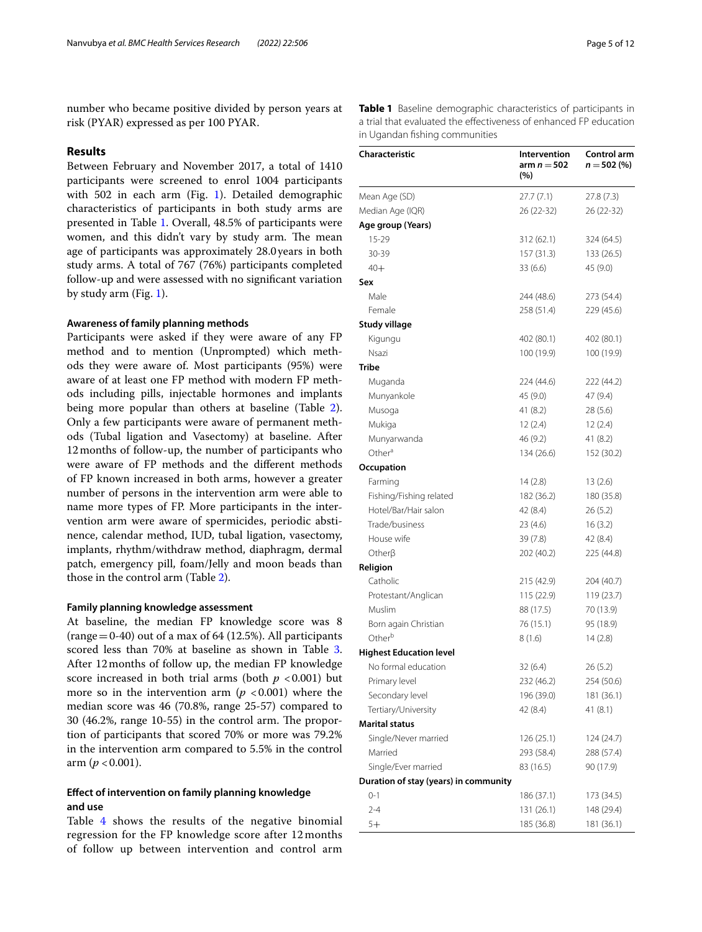number who became positive divided by person years at risk (PYAR) expressed as per 100 PYAR.

### **Results**

Between February and November 2017, a total of 1410 participants were screened to enrol 1004 participants with 502 in each arm (Fig. [1](#page-2-0)). Detailed demographic characteristics of participants in both study arms are presented in Table [1.](#page-4-0) Overall, 48.5% of participants were women, and this didn't vary by study arm. The mean age of participants was approximately 28.0 years in both study arms. A total of 767 (76%) participants completed follow-up and were assessed with no signifcant variation by study arm (Fig. [1](#page-2-0)).

### **Awareness of family planning methods**

Participants were asked if they were aware of any FP method and to mention (Unprompted) which methods they were aware of. Most participants (95%) were aware of at least one FP method with modern FP methods including pills, injectable hormones and implants being more popular than others at baseline (Table [2](#page-5-0)). Only a few participants were aware of permanent methods (Tubal ligation and Vasectomy) at baseline. After 12months of follow-up, the number of participants who were aware of FP methods and the diferent methods of FP known increased in both arms, however a greater number of persons in the intervention arm were able to name more types of FP. More participants in the intervention arm were aware of spermicides, periodic abstinence, calendar method, IUD, tubal ligation, vasectomy, implants, rhythm/withdraw method, diaphragm, dermal patch, emergency pill, foam/Jelly and moon beads than those in the control arm (Table [2](#page-5-0)).

### **Family planning knowledge assessment**

At baseline, the median FP knowledge score was 8 (range  $=$  0-40) out of a max of 64 (12.5%). All participants scored less than 70% at baseline as shown in Table [3](#page-6-0). After 12months of follow up, the median FP knowledge score increased in both trial arms (both  $p < 0.001$ ) but more so in the intervention arm  $(p < 0.001)$  where the median score was 46 (70.8%, range 25-57) compared to  $30$  (46.2%, range 10-55) in the control arm. The proportion of participants that scored 70% or more was 79.2% in the intervention arm compared to 5.5% in the control arm  $(p < 0.001)$ .

# **Efect of intervention on family planning knowledge and use**

Table [4](#page-6-1) shows the results of the negative binomial regression for the FP knowledge score after 12 months of follow up between intervention and control arm

| Page 5 of 12 |  |  |  |
|--------------|--|--|--|
|--------------|--|--|--|

<span id="page-4-0"></span>**Table 1** Baseline demographic characteristics of participants in a trial that evaluated the efectiveness of enhanced FP education in Ugandan fshing communities

| Characteristic                        | Intervention<br>arm $n = 502$<br>(%) | Control arm<br>$n = 502(%)$ |
|---------------------------------------|--------------------------------------|-----------------------------|
| Mean Age (SD)                         | 27.7(7.1)                            | 27.8 (7.3)                  |
| Median Age (IQR)                      | 26 (22-32)                           | 26 (22-32)                  |
| Age group (Years)                     |                                      |                             |
| 15-29                                 | 312 (62.1)                           | 324 (64.5)                  |
| 30-39                                 | 157(31.3)                            | 133 (26.5)                  |
| $40+$                                 | 33(6.6)                              | 45 (9.0)                    |
| Sex                                   |                                      |                             |
| Male                                  | 244 (48.6)                           | 273 (54.4)                  |
| Female                                | 258 (51.4)                           | 229 (45.6)                  |
| <b>Study village</b>                  |                                      |                             |
| Kigungu                               | 402 (80.1)                           | 402 (80.1)                  |
| Nsazi                                 | 100 (19.9)                           | 100 (19.9)                  |
| Tribe                                 |                                      |                             |
| Muganda                               | 224 (44.6)                           | 222 (44.2)                  |
| Munyankole                            | 45 (9.0)                             | 47 (9.4)                    |
| Musoga                                | 41 (8.2)                             | 28(5.6)                     |
| Mukiga                                | 12(2.4)                              | 12(2.4)                     |
| Munyarwanda                           | 46 (9.2)                             | 41 (8.2)                    |
| Other <sup>a</sup>                    | 134 (26.6)                           | 152 (30.2)                  |
| Occupation                            |                                      |                             |
| Farming                               | 14 (2.8)                             | 13(2.6)                     |
| Fishing/Fishing related               | 182 (36.2)                           | 180 (35.8)                  |
| Hotel/Bar/Hair salon                  | 42 (8.4)                             | 26(5.2)                     |
| Trade/business                        | 23(4.6)                              | 16(3.2)                     |
| House wife                            | 39 (7.8)                             | 42 (8.4)                    |
| Other $\beta$                         | 202 (40.2)                           | 225 (44.8)                  |
| Religion                              |                                      |                             |
| Catholic                              | 215 (42.9)                           | 204 (40.7)                  |
| Protestant/Anglican                   | 115 (22.9)                           | 119 (23.7)                  |
| Muslim                                | 88 (17.5)                            | 70 (13.9)                   |
| Born again Christian                  | 76 (15.1)                            | 95 (18.9)                   |
| Other <sup>b</sup>                    | 8(1.6)                               | 14(2.8)                     |
| <b>Highest Education level</b>        |                                      |                             |
| No formal education                   | 32(6.4)                              | 26(5.2)                     |
| Primary level                         | 232 (46.2)                           | 254 (50.6)                  |
| Secondary level                       | 196 (39.0)                           | 181 (36.1)                  |
| Tertiary/University                   | 42 (8.4)                             | 41 (8.1)                    |
| <b>Marital status</b>                 |                                      |                             |
| Single/Never married                  | 126 (25.1)                           | 124 (24.7)                  |
| Married                               | 293 (58.4)                           | 288 (57.4)                  |
| Single/Ever married                   | 83 (16.5)                            | 90 (17.9)                   |
| Duration of stay (years) in community |                                      |                             |
| $0 - 1$                               | 186 (37.1)                           | 173 (34.5)                  |
| $2 - 4$                               | 131 (26.1)                           | 148 (29.4)                  |
| 5+                                    | 185 (36.8)                           | 181 (36.1)                  |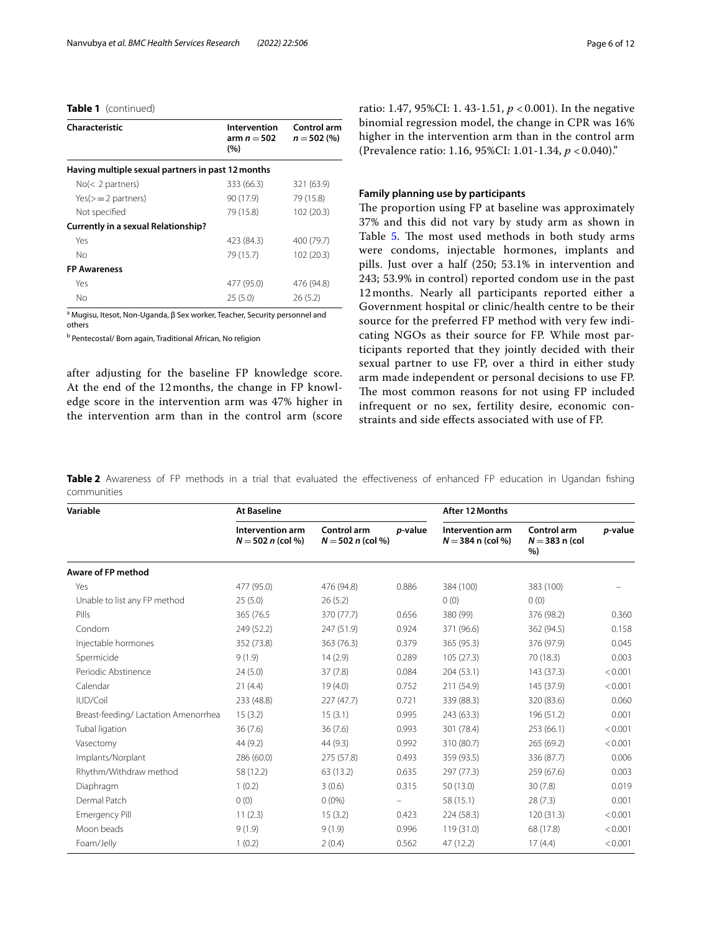# **Table 1** (continued)

| Characteristic                                    | Intervention<br>arm $n = 502$<br>(%) | Control arm<br>$n = 502 (%)$ |
|---------------------------------------------------|--------------------------------------|------------------------------|
| Having multiple sexual partners in past 12 months |                                      |                              |
| No( <sub>2</sub> partners)                        | 333 (66.3)                           | 321 (63.9)                   |
| $Yes(>=2 partners)$                               | 90 (17.9)                            | 79 (15.8)                    |
| Not specified                                     | 79 (15.8)                            | 102 (20.3)                   |
| <b>Currently in a sexual Relationship?</b>        |                                      |                              |
| Yes                                               | 423 (84.3)                           | 400 (79.7)                   |
| No                                                | 79 (15.7)                            | 102 (20.3)                   |
| <b>FP Awareness</b>                               |                                      |                              |
| Yes                                               | 477 (95.0)                           | 476 (94.8)                   |
| Nο                                                | 25(5.0)                              | 26(5.2)                      |

a Mugisu, Itesot, Non-Uganda, β Sex worker, Teacher, Security personnel and others

<sup>b</sup> Pentecostal/ Born again, Traditional African, No religion

after adjusting for the baseline FP knowledge score. At the end of the 12 months, the change in FP knowledge score in the intervention arm was 47% higher in the intervention arm than in the control arm (score ratio: 1.47, 95%CI: 1. 43-1.51, *p* < 0.001). In the negative binomial regression model, the change in CPR was 16% higher in the intervention arm than in the control arm (Prevalence ratio: 1.16, 95%CI: 1.01-1.34, *p* < 0.040)."

# **Family planning use by participants**

The proportion using FP at baseline was approximately 37% and this did not vary by study arm as shown in Table [5](#page-7-0). The most used methods in both study arms were condoms, injectable hormones, implants and pills. Just over a half (250; 53.1% in intervention and 243; 53.9% in control) reported condom use in the past 12 months. Nearly all participants reported either a Government hospital or clinic/health centre to be their source for the preferred FP method with very few indicating NGOs as their source for FP. While most participants reported that they jointly decided with their sexual partner to use FP, over a third in either study arm made independent or personal decisions to use FP. The most common reasons for not using FP included infrequent or no sex, fertility desire, economic constraints and side efects associated with use of FP.

<span id="page-5-0"></span>**Table 2** Awareness of FP methods in a trial that evaluated the effectiveness of enhanced FP education in Ugandan fishing communities

| Variable                             | <b>At Baseline</b>                      |                                    |         | After 12 Months                         |                                      |         |
|--------------------------------------|-----------------------------------------|------------------------------------|---------|-----------------------------------------|--------------------------------------|---------|
|                                      | Intervention arm<br>$N = 502 n$ (col %) | Control arm<br>$N = 502 n$ (col %) | p-value | Intervention arm<br>$N = 384$ n (col %) | Control arm<br>$N = 383$ n (col<br>% | p-value |
| <b>Aware of FP method</b>            |                                         |                                    |         |                                         |                                      |         |
| Yes                                  | 477 (95.0)                              | 476 (94.8)                         | 0.886   | 384 (100)                               | 383 (100)                            |         |
| Unable to list any FP method         | 25(5.0)                                 | 26(5.2)                            |         | 0(0)                                    | 0(0)                                 |         |
| Pills                                | 365 (76.5)                              | 370 (77.7)                         | 0.656   | 380 (99)                                | 376 (98.2)                           | 0.360   |
| Condom                               | 249 (52.2)                              | 247 (51.9)                         | 0.924   | 371 (96.6)                              | 362 (94.5)                           | 0.158   |
| Injectable hormones                  | 352 (73.8)                              | 363 (76.3)                         | 0.379   | 365 (95.3)                              | 376 (97.9)                           | 0.045   |
| Spermicide                           | 9(1.9)                                  | 14(2.9)                            | 0.289   | 105(27.3)                               | 70 (18.3)                            | 0.003   |
| Periodic Abstinence                  | 24(5.0)                                 | 37(7.8)                            | 0.084   | 204 (53.1)                              | 143 (37.3)                           | < 0.001 |
| Calendar                             | 21(4.4)                                 | 19(4.0)                            | 0.752   | 211 (54.9)                              | 145 (37.9)                           | < 0.001 |
| IUD/Coil                             | 233 (48.8)                              | 227(47.7)                          | 0.721   | 339 (88.3)                              | 320 (83.6)                           | 0.060   |
| Breast-feeding/ Lactation Amenorrhea | 15(3.2)                                 | 15(3.1)                            | 0.995   | 243 (63.3)                              | 196 (51.2)                           | 0.001   |
| Tubal ligation                       | 36(7.6)                                 | 36(7.6)                            | 0.993   | 301 (78.4)                              | 253 (66.1)                           | < 0.001 |
| Vasectomy                            | 44 (9.2)                                | 44 (9.3)                           | 0.992   | 310 (80.7)                              | 265 (69.2)                           | < 0.001 |
| Implants/Norplant                    | 286 (60.0)                              | 275 (57.8)                         | 0.493   | 359 (93.5)                              | 336 (87.7)                           | 0.006   |
| Rhythm/Withdraw method               | 58 (12.2)                               | 63 (13.2)                          | 0.635   | 297 (77.3)                              | 259 (67.6)                           | 0.003   |
| Diaphragm                            | 1(0.2)                                  | 3(0.6)                             | 0.315   | 50 (13.0)                               | 30(7.8)                              | 0.019   |
| Dermal Patch                         | 0(0)                                    | $0(0\%)$                           |         | 58 (15.1)                               | 28(7.3)                              | 0.001   |
| <b>Emergency Pill</b>                | 11(2.3)                                 | 15(3.2)                            | 0.423   | 224 (58.3)                              | 120 (31.3)                           | < 0.001 |
| Moon beads                           | 9(1.9)                                  | 9(1.9)                             | 0.996   | 119 (31.0)                              | 68 (17.8)                            | < 0.001 |
| Foam/Jelly                           | 1(0.2)                                  | 2(0.4)                             | 0.562   | 47 (12.2)                               | 17(4.4)                              | < 0.001 |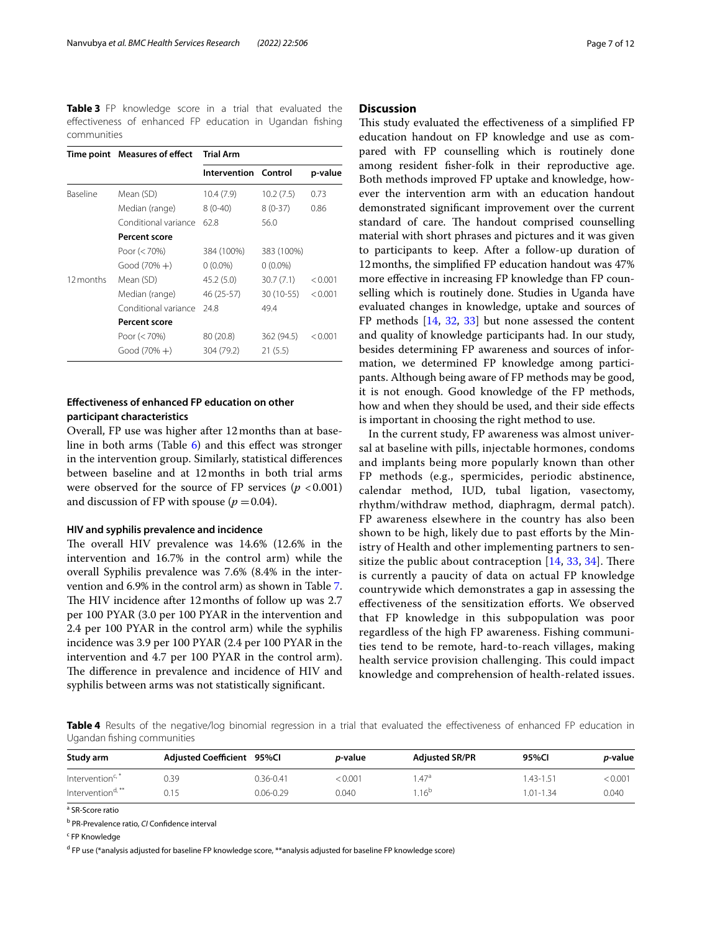<span id="page-6-0"></span>**Table 3** FP knowledge score in a trial that evaluated the efectiveness of enhanced FP education in Ugandan fshing communities

|                 | Time point Measures of effect | <b>Trial Arm</b>     |            |         |
|-----------------|-------------------------------|----------------------|------------|---------|
|                 |                               | Intervention Control |            | p-value |
| <b>Baseline</b> | Mean (SD)                     | 10.4 (7.9)           | 10.2(7.5)  | 0.73    |
|                 | Median (range)                | $8(0-40)$            | $8(0-37)$  | 0.86    |
|                 | Conditional variance          | 62.8                 | 56.0       |         |
|                 | <b>Percent score</b>          |                      |            |         |
|                 | Poor $(< 70\%)$               | 384 (100%)           | 383 (100%) |         |
|                 | $Good (70% +)$                | $0(0.0\%)$           | $0(0.0\%)$ |         |
| 12 months       | Mean (SD)                     | 45.2(5.0)            | 30.7(7.1)  | < 0.001 |
|                 | Median (range)                | 46 (25-57)           | 30 (10-55) | < 0.001 |
|                 | Conditional variance          | 24.8                 | 49.4       |         |
|                 | <b>Percent score</b>          |                      |            |         |
|                 | Poor $(< 70\%)$               | 80 (20.8)            | 362 (94.5) | < 0.001 |
|                 | $Good (70% +)$                | 304 (79.2)           | 21(5.5)    |         |

# **Efectiveness of enhanced FP education on other participant characteristics**

Overall, FP use was higher after 12months than at baseline in both arms (Table [6](#page-8-0)) and this efect was stronger in the intervention group. Similarly, statistical diferences between baseline and at 12months in both trial arms were observed for the source of FP services  $(p < 0.001)$ and discussion of FP with spouse  $(p = 0.04)$ .

### **HIV and syphilis prevalence and incidence**

The overall HIV prevalence was  $14.6\%$  (12.6% in the intervention and 16.7% in the control arm) while the overall Syphilis prevalence was 7.6% (8.4% in the intervention and 6.9% in the control arm) as shown in Table [7](#page-8-1). The HIV incidence after 12 months of follow up was 2.7 per 100 PYAR (3.0 per 100 PYAR in the intervention and 2.4 per 100 PYAR in the control arm) while the syphilis incidence was 3.9 per 100 PYAR (2.4 per 100 PYAR in the intervention and 4.7 per 100 PYAR in the control arm). The difference in prevalence and incidence of HIV and syphilis between arms was not statistically signifcant.

## **Discussion**

This study evaluated the effectiveness of a simplified FP education handout on FP knowledge and use as compared with FP counselling which is routinely done among resident fsher-folk in their reproductive age. Both methods improved FP uptake and knowledge, however the intervention arm with an education handout demonstrated signifcant improvement over the current standard of care. The handout comprised counselling material with short phrases and pictures and it was given to participants to keep. After a follow-up duration of 12months, the simplifed FP education handout was 47% more efective in increasing FP knowledge than FP counselling which is routinely done. Studies in Uganda have evaluated changes in knowledge, uptake and sources of FP methods [\[14,](#page-11-0) [32,](#page-11-14) [33\]](#page-11-15) but none assessed the content and quality of knowledge participants had. In our study, besides determining FP awareness and sources of information, we determined FP knowledge among participants. Although being aware of FP methods may be good, it is not enough. Good knowledge of the FP methods, how and when they should be used, and their side efects is important in choosing the right method to use.

In the current study, FP awareness was almost universal at baseline with pills, injectable hormones, condoms and implants being more popularly known than other FP methods (e.g., spermicides, periodic abstinence, calendar method, IUD, tubal ligation, vasectomy, rhythm/withdraw method, diaphragm, dermal patch). FP awareness elsewhere in the country has also been shown to be high, likely due to past efforts by the Ministry of Health and other implementing partners to sensitize the public about contraception  $[14, 33, 34]$  $[14, 33, 34]$  $[14, 33, 34]$  $[14, 33, 34]$  $[14, 33, 34]$  $[14, 33, 34]$  $[14, 33, 34]$ . There is currently a paucity of data on actual FP knowledge countrywide which demonstrates a gap in assessing the effectiveness of the sensitization efforts. We observed that FP knowledge in this subpopulation was poor regardless of the high FP awareness. Fishing communities tend to be remote, hard-to-reach villages, making health service provision challenging. This could impact knowledge and comprehension of health-related issues.

<span id="page-6-1"></span>**Table 4** Results of the negative/log binomial regression in a trial that evaluated the efectiveness of enhanced FP education in Ugandan fshing communities

| Study arm                    | Adiusted Coefficient 95%Cl |               | <i>p</i> -value | <b>Adjusted SR/PR</b> | 95%CI         | <i>p</i> -value |
|------------------------------|----------------------------|---------------|-----------------|-----------------------|---------------|-----------------|
| Intervention <sup>c,</sup>   | ).39                       | $0.36 - 0.41$ | : 0.001         | .47 <sup>a</sup>      | 43-1.51       | < 0.001         |
| Intervention <sup>d,**</sup> | 0.15                       | $0.06 - 0.29$ | 0.040           | .16 <sup>b</sup>      | $1.01 - 1.34$ | 0.040           |

<sup>a</sup> SR-Score ratio

b PR-Prevalence ratio, *CI* Confdence interval

<sup>c</sup> FP Knowledge

<sup>d</sup> FP use (\*analysis adjusted for baseline FP knowledge score, \*\*analysis adjusted for baseline FP knowledge score)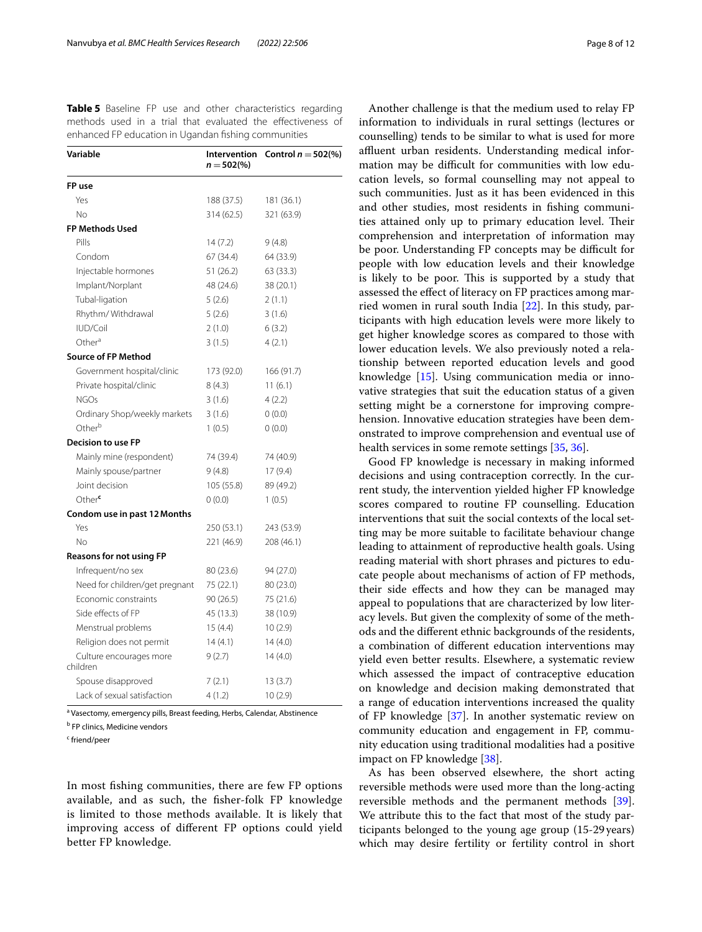<span id="page-7-0"></span>**Table 5** Baseline FP use and other characteristics regarding methods used in a trial that evaluated the efectiveness of enhanced FP education in Ugandan fshing communities

| Variable                            | Intervention<br>$n = 502\frac{6}{6}$ | Control $n = 502$ (%) |
|-------------------------------------|--------------------------------------|-----------------------|
| FP use                              |                                      |                       |
| Yes                                 | 188 (37.5)                           | 181 (36.1)            |
| No                                  | 314 (62.5)                           | 321 (63.9)            |
| <b>FP Methods Used</b>              |                                      |                       |
| Pills                               | 14(7.2)                              | 9(4.8)                |
| Condom                              | 67 (34.4)                            | 64 (33.9)             |
| Injectable hormones                 | 51 (26.2)                            | 63 (33.3)             |
| Implant/Norplant                    | 48 (24.6)                            | 38 (20.1)             |
| Tubal-ligation                      | 5(2.6)                               | 2(1.1)                |
| Rhythm/Withdrawal                   | 5(2.6)                               | 3(1.6)                |
| IUD/Coil                            | 2(1.0)                               | 6(3.2)                |
| Other <sup>a</sup>                  | 3(1.5)                               | 4(2.1)                |
| <b>Source of FP Method</b>          |                                      |                       |
| Government hospital/clinic          | 173 (92.0)                           | 166 (91.7)            |
| Private hospital/clinic             | 8(4.3)                               | 11(6.1)               |
| <b>NGOs</b>                         | 3(1.6)                               | 4(2.2)                |
| Ordinary Shop/weekly markets        | 3(1.6)                               | 0(0.0)                |
| Other <sup>b</sup>                  | 1(0.5)                               | 0(0.0)                |
| <b>Decision to use FP</b>           |                                      |                       |
| Mainly mine (respondent)            | 74 (39.4)                            | 74 (40.9)             |
| Mainly spouse/partner               | 9(4.8)                               | 17(9.4)               |
| Joint decision                      | 105 (55.8)                           | 89 (49.2)             |
| Other                               | 0(0.0)                               | 1(0.5)                |
| Condom use in past 12 Months        |                                      |                       |
| Yes                                 | 250 (53.1)                           | 243 (53.9)            |
| No                                  | 221 (46.9)                           | 208 (46.1)            |
| <b>Reasons for not using FP</b>     |                                      |                       |
| Infrequent/no sex                   | 80 (23.6)                            | 94 (27.0)             |
| Need for children/get pregnant      | 75 (22.1)                            | 80 (23.0)             |
| Economic constraints                | 90(26.5)                             | 75 (21.6)             |
| Side effects of FP                  | 45 (13.3)                            | 38 (10.9)             |
| Menstrual problems                  | 15(4.4)                              | 10(2.9)               |
| Religion does not permit            | 14 (4.1)                             | 14(4.0)               |
| Culture encourages more<br>children | 9(2.7)                               | 14(4.0)               |
| Spouse disapproved                  | 7(2.1)                               | 13 (3.7)              |
| Lack of sexual satisfaction         | 4(1.2)                               | 10(2.9)               |

<sup>a</sup> Vasectomy, emergency pills, Breast feeding, Herbs, Calendar, Abstinence

<sup>b</sup> FP clinics, Medicine vendors

<sup>c</sup> friend/peer

In most fshing communities, there are few FP options available, and as such, the fsher-folk FP knowledge is limited to those methods available. It is likely that improving access of diferent FP options could yield better FP knowledge.

Another challenge is that the medium used to relay FP information to individuals in rural settings (lectures or counselling) tends to be similar to what is used for more affluent urban residents. Understanding medical information may be difficult for communities with low education levels, so formal counselling may not appeal to such communities. Just as it has been evidenced in this and other studies, most residents in fshing communities attained only up to primary education level. Their comprehension and interpretation of information may be poor. Understanding FP concepts may be difficult for people with low education levels and their knowledge is likely to be poor. This is supported by a study that assessed the efect of literacy on FP practices among married women in rural south India [[22\]](#page-11-5). In this study, participants with high education levels were more likely to get higher knowledge scores as compared to those with lower education levels. We also previously noted a relationship between reported education levels and good knowledge [\[15](#page-11-1)]. Using communication media or innovative strategies that suit the education status of a given setting might be a cornerstone for improving comprehension. Innovative education strategies have been demonstrated to improve comprehension and eventual use of health services in some remote settings [\[35,](#page-11-17) [36](#page-11-18)].

Good FP knowledge is necessary in making informed decisions and using contraception correctly. In the current study, the intervention yielded higher FP knowledge scores compared to routine FP counselling. Education interventions that suit the social contexts of the local setting may be more suitable to facilitate behaviour change leading to attainment of reproductive health goals. Using reading material with short phrases and pictures to educate people about mechanisms of action of FP methods, their side effects and how they can be managed may appeal to populations that are characterized by low literacy levels. But given the complexity of some of the methods and the diferent ethnic backgrounds of the residents, a combination of diferent education interventions may yield even better results. Elsewhere, a systematic review which assessed the impact of contraceptive education on knowledge and decision making demonstrated that a range of education interventions increased the quality of FP knowledge [[37](#page-11-19)]. In another systematic review on community education and engagement in FP, community education using traditional modalities had a positive impact on FP knowledge [[38\]](#page-11-20).

As has been observed elsewhere, the short acting reversible methods were used more than the long-acting reversible methods and the permanent methods [\[39](#page-11-21)]. We attribute this to the fact that most of the study participants belonged to the young age group (15-29 years) which may desire fertility or fertility control in short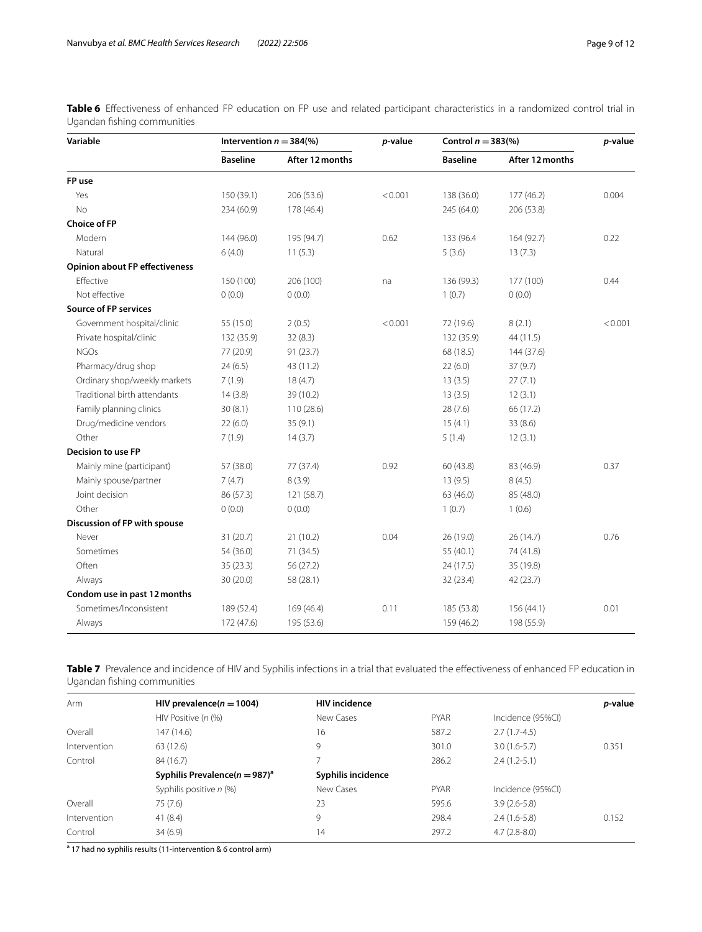<span id="page-8-0"></span>Table 6 Effectiveness of enhanced FP education on FP use and related participant characteristics in a randomized control trial in Ugandan fshing communities

| Variable                              | Intervention $n = 384\%$ |                 | p-value |                 | Control $n = 383\%$ |         |
|---------------------------------------|--------------------------|-----------------|---------|-----------------|---------------------|---------|
|                                       | <b>Baseline</b>          | After 12 months |         | <b>Baseline</b> | After 12 months     |         |
| FP use                                |                          |                 |         |                 |                     |         |
| Yes                                   | 150 (39.1)               | 206 (53.6)      | < 0.001 | 138 (36.0)      | 177 (46.2)          | 0.004   |
| <b>No</b>                             | 234 (60.9)               | 178 (46.4)      |         | 245 (64.0)      | 206 (53.8)          |         |
| <b>Choice of FP</b>                   |                          |                 |         |                 |                     |         |
| Modern                                | 144 (96.0)               | 195 (94.7)      | 0.62    | 133 (96.4       | 164 (92.7)          | 0.22    |
| Natural                               | 6(4.0)                   | 11(5.3)         |         | 5(3.6)          | 13(7.3)             |         |
| <b>Opinion about FP effectiveness</b> |                          |                 |         |                 |                     |         |
| Effective                             | 150 (100)                | 206 (100)       | na      | 136 (99.3)      | 177 (100)           | 0.44    |
| Not effective                         | 0(0.0)                   | 0(0.0)          |         | 1(0.7)          | 0(0.0)              |         |
| <b>Source of FP services</b>          |                          |                 |         |                 |                     |         |
| Government hospital/clinic            | 55 (15.0)                | 2(0.5)          | < 0.001 | 72 (19.6)       | 8(2.1)              | < 0.001 |
| Private hospital/clinic               | 132 (35.9)               | 32(8.3)         |         | 132 (35.9)      | 44 (11.5)           |         |
| <b>NGOs</b>                           | 77 (20.9)                | 91 (23.7)       |         | 68 (18.5)       | 144 (37.6)          |         |
| Pharmacy/drug shop                    | 24(6.5)                  | 43 (11.2)       |         | 22(6.0)         | 37(9.7)             |         |
| Ordinary shop/weekly markets          | 7(1.9)                   | 18(4.7)         |         | 13(3.5)         | 27(7.1)             |         |
| Traditional birth attendants          | 14(3.8)                  | 39 (10.2)       |         | 13(3.5)         | 12(3.1)             |         |
| Family planning clinics               | 30(8.1)                  | 110 (28.6)      |         | 28(7.6)         | 66 (17.2)           |         |
| Drug/medicine vendors                 | 22(6.0)                  | 35(9.1)         |         | 15(4.1)         | 33 (8.6)            |         |
| Other                                 | 7(1.9)                   | 14(3.7)         |         | 5(1.4)          | 12(3.1)             |         |
| <b>Decision to use FP</b>             |                          |                 |         |                 |                     |         |
| Mainly mine (participant)             | 57 (38.0)                | 77 (37.4)       | 0.92    | 60 (43.8)       | 83 (46.9)           | 0.37    |
| Mainly spouse/partner                 | 7(4.7)                   | 8(3.9)          |         | 13(9.5)         | 8(4.5)              |         |
| Joint decision                        | 86 (57.3)                | 121 (58.7)      |         | 63 (46.0)       | 85 (48.0)           |         |
| Other                                 | 0(0.0)                   | 0(0.0)          |         | 1(0.7)          | 1(0.6)              |         |
| Discussion of FP with spouse          |                          |                 |         |                 |                     |         |
| Never                                 | 31(20.7)                 | 21(10.2)        | 0.04    | 26 (19.0)       | 26 (14.7)           | 0.76    |
| Sometimes                             | 54 (36.0)                | 71 (34.5)       |         | 55 (40.1)       | 74 (41.8)           |         |
| Often                                 | 35(23.3)                 | 56 (27.2)       |         | 24 (17.5)       | 35 (19.8)           |         |
| Always                                | 30 (20.0)                | 58 (28.1)       |         | 32 (23.4)       | 42 (23.7)           |         |
| Condom use in past 12 months          |                          |                 |         |                 |                     |         |
| Sometimes/Inconsistent                | 189 (52.4)               | 169 (46.4)      | 0.11    | 185 (53.8)      | 156 (44.1)          | 0.01    |
| Always                                | 172 (47.6)               | 195 (53.6)      |         | 159 (46.2)      | 198 (55.9)          |         |

<span id="page-8-1"></span>**Table 7** Prevalence and incidence of HIV and Syphilis infections in a trial that evaluated the effectiveness of enhanced FP education in Ugandan fshing communities

| Arm          | HIV prevalence( $n = 1004$ )                  | <b>HIV</b> incidence |             |                   | p-value |
|--------------|-----------------------------------------------|----------------------|-------------|-------------------|---------|
|              | HIV Positive (n (%)                           | New Cases            | <b>PYAR</b> | Incidence (95%CI) |         |
| Overall      | 147 (14.6)                                    | 16                   | 587.2       | $2.7(1.7-4.5)$    |         |
| Intervention | 63 (12.6)                                     | 9                    | 301.0       | $3.0(1.6-5.7)$    | 0.351   |
| Control      | 84 (16.7)                                     |                      | 286.2       | $2.4(1.2-5.1)$    |         |
|              | Syphilis Prevalence( $n = 987$ ) <sup>a</sup> | Syphilis incidence   |             |                   |         |
|              | Syphilis positive n (%)                       | New Cases            | <b>PYAR</b> | Incidence (95%CI) |         |
|              | 75 (7.6)                                      | 23                   | 595.6       | $3.9(2.6-5.8)$    |         |
| Intervention | 41(8.4)                                       | 9                    | 298.4       | $2.4(1.6-5.8)$    | 0.152   |
| Control      | 34(6.9)                                       | 14                   | 297.2       | $4.7(2.8-8.0)$    |         |
| Overall      |                                               |                      |             |                   |         |

<sup>a</sup> 17 had no syphilis results (11-intervention & 6 control arm)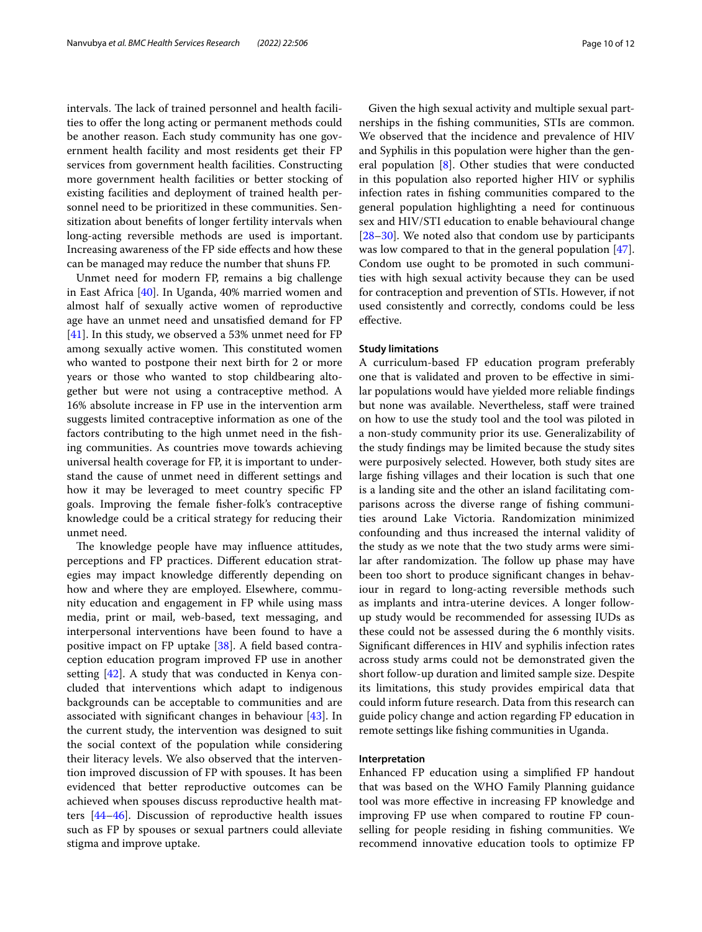intervals. The lack of trained personnel and health facilities to ofer the long acting or permanent methods could be another reason. Each study community has one government health facility and most residents get their FP services from government health facilities. Constructing more government health facilities or better stocking of existing facilities and deployment of trained health personnel need to be prioritized in these communities. Sensitization about benefts of longer fertility intervals when long-acting reversible methods are used is important. Increasing awareness of the FP side efects and how these can be managed may reduce the number that shuns FP.

Unmet need for modern FP, remains a big challenge in East Africa [[40\]](#page-11-22). In Uganda, 40% married women and almost half of sexually active women of reproductive age have an unmet need and unsatisfed demand for FP [[41\]](#page-11-23). In this study, we observed a 53% unmet need for FP among sexually active women. This constituted women who wanted to postpone their next birth for 2 or more years or those who wanted to stop childbearing altogether but were not using a contraceptive method. A 16% absolute increase in FP use in the intervention arm suggests limited contraceptive information as one of the factors contributing to the high unmet need in the fshing communities. As countries move towards achieving universal health coverage for FP, it is important to understand the cause of unmet need in diferent settings and how it may be leveraged to meet country specifc FP goals. Improving the female fsher-folk's contraceptive knowledge could be a critical strategy for reducing their unmet need.

The knowledge people have may influence attitudes, perceptions and FP practices. Diferent education strategies may impact knowledge diferently depending on how and where they are employed. Elsewhere, community education and engagement in FP while using mass media, print or mail, web-based, text messaging, and interpersonal interventions have been found to have a positive impact on FP uptake [[38\]](#page-11-20). A feld based contraception education program improved FP use in another setting [\[42\]](#page-11-24). A study that was conducted in Kenya concluded that interventions which adapt to indigenous backgrounds can be acceptable to communities and are associated with signifcant changes in behaviour [\[43](#page-11-25)]. In the current study, the intervention was designed to suit the social context of the population while considering their literacy levels. We also observed that the intervention improved discussion of FP with spouses. It has been evidenced that better reproductive outcomes can be achieved when spouses discuss reproductive health matters [\[44–](#page-11-26)[46\]](#page-11-27). Discussion of reproductive health issues such as FP by spouses or sexual partners could alleviate stigma and improve uptake.

Given the high sexual activity and multiple sexual partnerships in the fshing communities, STIs are common. We observed that the incidence and prevalence of HIV and Syphilis in this population were higher than the general population [[8\]](#page-10-6). Other studies that were conducted in this population also reported higher HIV or syphilis infection rates in fshing communities compared to the general population highlighting a need for continuous sex and HIV/STI education to enable behavioural change [[28–](#page-11-28)[30\]](#page-11-11). We noted also that condom use by participants was low compared to that in the general population [\[47](#page-11-29)]. Condom use ought to be promoted in such communities with high sexual activity because they can be used for contraception and prevention of STIs. However, if not used consistently and correctly, condoms could be less efective.

### **Study limitations**

A curriculum-based FP education program preferably one that is validated and proven to be efective in similar populations would have yielded more reliable fndings but none was available. Nevertheless, staff were trained on how to use the study tool and the tool was piloted in a non-study community prior its use. Generalizability of the study fndings may be limited because the study sites were purposively selected. However, both study sites are large fshing villages and their location is such that one is a landing site and the other an island facilitating comparisons across the diverse range of fshing communities around Lake Victoria. Randomization minimized confounding and thus increased the internal validity of the study as we note that the two study arms were similar after randomization. The follow up phase may have been too short to produce signifcant changes in behaviour in regard to long-acting reversible methods such as implants and intra-uterine devices. A longer followup study would be recommended for assessing IUDs as these could not be assessed during the 6 monthly visits. Signifcant diferences in HIV and syphilis infection rates across study arms could not be demonstrated given the short follow-up duration and limited sample size. Despite its limitations, this study provides empirical data that could inform future research. Data from this research can guide policy change and action regarding FP education in remote settings like fshing communities in Uganda.

### **Interpretation**

Enhanced FP education using a simplifed FP handout that was based on the WHO Family Planning guidance tool was more efective in increasing FP knowledge and improving FP use when compared to routine FP counselling for people residing in fshing communities. We recommend innovative education tools to optimize FP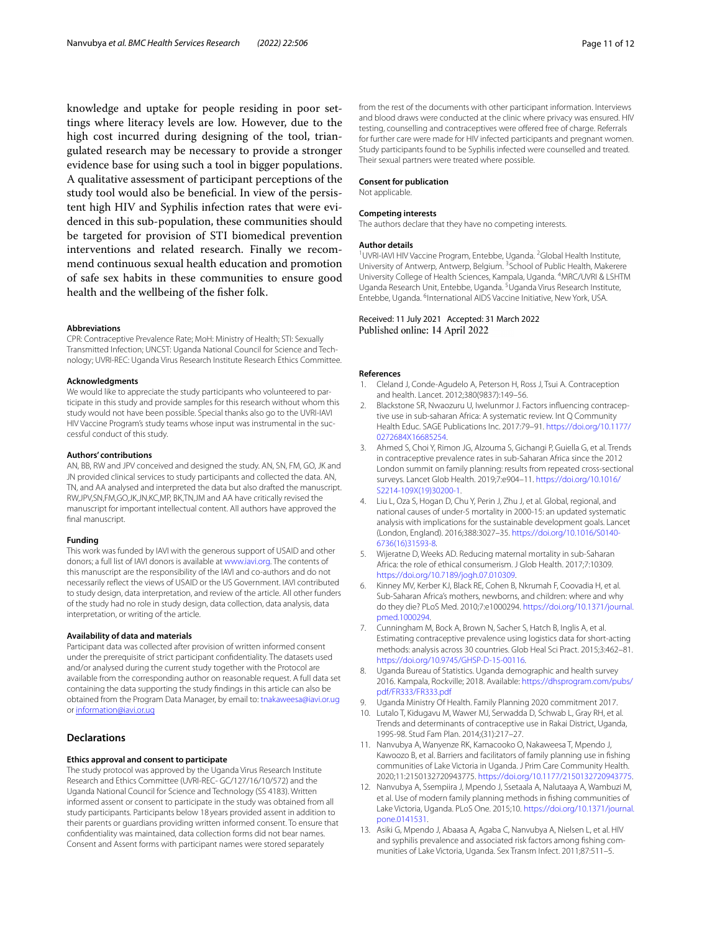knowledge and uptake for people residing in poor settings where literacy levels are low. However, due to the high cost incurred during designing of the tool, triangulated research may be necessary to provide a stronger evidence base for using such a tool in bigger populations. A qualitative assessment of participant perceptions of the study tool would also be benefcial. In view of the persistent high HIV and Syphilis infection rates that were evidenced in this sub-population, these communities should be targeted for provision of STI biomedical prevention interventions and related research. Finally we recommend continuous sexual health education and promotion of safe sex habits in these communities to ensure good health and the wellbeing of the fsher folk.

#### **Abbreviations**

CPR: Contraceptive Prevalence Rate; MoH: Ministry of Health; STI: Sexually Transmitted Infection; UNCST: Uganda National Council for Science and Technology; UVRI-REC: Uganda Virus Research Institute Research Ethics Committee.

### **Acknowledgments**

We would like to appreciate the study participants who volunteered to participate in this study and provide samples for this research without whom this study would not have been possible. Special thanks also go to the UVRI-IAVI HIV Vaccine Program's study teams whose input was instrumental in the successful conduct of this study.

#### **Authors' contributions**

AN, BB, RW and JPV conceived and designed the study. AN, SN, FM, GO, JK and JN provided clinical services to study participants and collected the data. AN, TN, and AA analysed and interpreted the data but also drafted the manuscript. RW,JPV,SN,FM,GO,JK,JN,KC,MP, BK,TN,JM and AA have critically revised the manuscript for important intellectual content. All authors have approved the final manuscript.

### **Funding**

This work was funded by IAVI with the generous support of USAID and other donors; a full list of IAVI donors is available at [www.iavi.org](http://www.iavi.org). The contents of this manuscript are the responsibility of the IAVI and co-authors and do not necessarily refect the views of USAID or the US Government. IAVI contributed to study design, data interpretation, and review of the article. All other funders of the study had no role in study design, data collection, data analysis, data interpretation, or writing of the article.

### **Availability of data and materials**

Participant data was collected after provision of written informed consent under the prerequisite of strict participant confdentiality. The datasets used and/or analysed during the current study together with the Protocol are available from the corresponding author on reasonable request. A full data set containing the data supporting the study fndings in this article can also be obtained from the Program Data Manager, by email to:<tnakaweesa@iavi.or.ug> or <information@iavi.or.ug>

### **Declarations**

#### **Ethics approval and consent to participate**

The study protocol was approved by the Uganda Virus Research Institute Research and Ethics Committee (UVRI-REC- GC/127/16/10/572) and the Uganda National Council for Science and Technology (SS 4183). Written informed assent or consent to participate in the study was obtained from all study participants. Participants below 18 years provided assent in addition to their parents or guardians providing written informed consent. To ensure that confdentiality was maintained, data collection forms did not bear names. Consent and Assent forms with participant names were stored separately

from the rest of the documents with other participant information. Interviews and blood draws were conducted at the clinic where privacy was ensured. HIV testing, counselling and contraceptives were offered free of charge. Referrals for further care were made for HIV infected participants and pregnant women. Study participants found to be Syphilis infected were counselled and treated. Their sexual partners were treated where possible.

#### **Consent for publication**

Not applicable.

### **Competing interests**

The authors declare that they have no competing interests.

### **Author details**

<sup>1</sup> UVRI-IAVI HIV Vaccine Program, Entebbe, Uganda. <sup>2</sup> Global Health Institute, University of Antwerp, Antwerp, Belgium. <sup>3</sup> School of Public Health, Makerere University College of Health Sciences, Kampala, Uganda. <sup>4</sup>MRC/UVRI & LSHTM Uganda Research Unit, Entebbe, Uganda. <sup>5</sup>Uganda Virus Research Institute, Entebbe, Uganda. <sup>6</sup>International AIDS Vaccine Initiative, New York, USA.

### Received: 11 July 2021 Accepted: 31 March 2022 Published online: 14 April 2022

### **References**

- <span id="page-10-0"></span>1. Cleland J, Conde-Agudelo A, Peterson H, Ross J, Tsui A. Contraception and health. Lancet. 2012;380(9837):149–56.
- <span id="page-10-1"></span>2. Blackstone SR, Nwaozuru U, Iwelunmor J. Factors infuencing contraceptive use in sub-saharan Africa: A systematic review. Int Q Community Health Educ. SAGE Publications Inc. 2017:79–91. [https://doi.org/10.1177/](https://doi.org/10.1177/0272684X16685254) [0272684X16685254.](https://doi.org/10.1177/0272684X16685254)
- <span id="page-10-2"></span>3. Ahmed S, Choi Y, Rimon JG, Alzouma S, Gichangi P, Guiella G, et al. Trends in contraceptive prevalence rates in sub-Saharan Africa since the 2012 London summit on family planning: results from repeated cross-sectional surveys. Lancet Glob Health. 2019;7:e904–11. [https://doi.org/10.1016/](https://doi.org/10.1016/S2214-109X(19)30200-1) [S2214-109X\(19\)30200-1.](https://doi.org/10.1016/S2214-109X(19)30200-1)
- <span id="page-10-3"></span>4. Liu L, Oza S, Hogan D, Chu Y, Perin J, Zhu J, et al. Global, regional, and national causes of under-5 mortality in 2000-15: an updated systematic analysis with implications for the sustainable development goals. Lancet (London, England). 2016;388:3027–35. [https://doi.org/10.1016/S0140-](https://doi.org/10.1016/S0140-6736(16)31593-8) [6736\(16\)31593-8.](https://doi.org/10.1016/S0140-6736(16)31593-8)
- 5. Wijeratne D, Weeks AD. Reducing maternal mortality in sub-Saharan Africa: the role of ethical consumerism. J Glob Health. 2017;7:10309. <https://doi.org/10.7189/jogh.07.010309>.
- <span id="page-10-4"></span>6. Kinney MV, Kerber KJ, Black RE, Cohen B, Nkrumah F, Coovadia H, et al. Sub-Saharan Africa's mothers, newborns, and children: where and why do they die? PLoS Med. 2010;7:e1000294. [https://doi.org/10.1371/journal.](https://doi.org/10.1371/journal.pmed.1000294) [pmed.1000294.](https://doi.org/10.1371/journal.pmed.1000294)
- <span id="page-10-5"></span>7. Cunningham M, Bock A, Brown N, Sacher S, Hatch B, Inglis A, et al. Estimating contraceptive prevalence using logistics data for short-acting methods: analysis across 30 countries. Glob Heal Sci Pract. 2015;3:462–81. <https://doi.org/10.9745/GHSP-D-15-00116>.
- <span id="page-10-6"></span>8. Uganda Bureau of Statistics. Uganda demographic and health survey 2016. Kampala, Rockville; 2018. Available: [https://dhsprogram.com/pubs/](https://dhsprogram.com/pubs/pdf/FR333/FR333.pdf) [pdf/FR333/FR333.pdf](https://dhsprogram.com/pubs/pdf/FR333/FR333.pdf)
- <span id="page-10-7"></span>9. Uganda Ministry Of Health. Family Planning 2020 commitment 2017.
- <span id="page-10-8"></span>10. Lutalo T, Kidugavu M, Wawer MJ, Serwadda D, Schwab L, Gray RH, et al. Trends and determinants of contraceptive use in Rakai District, Uganda, 1995-98. Stud Fam Plan. 2014;(31):217–27.
- <span id="page-10-11"></span>11. Nanvubya A, Wanyenze RK, Kamacooko O, Nakaweesa T, Mpendo J, Kawoozo B, et al. Barriers and facilitators of family planning use in fshing communities of Lake Victoria in Uganda. J Prim Care Community Health. 2020;11:2150132720943775. <https://doi.org/10.1177/2150132720943775>.
- <span id="page-10-9"></span>12. Nanvubya A, Ssempiira J, Mpendo J, Ssetaala A, Nalutaaya A, Wambuzi M, et al. Use of modern family planning methods in fshing communities of Lake Victoria, Uganda. PLoS One. 2015;10. [https://doi.org/10.1371/journal.](https://doi.org/10.1371/journal.pone.0141531) [pone.0141531](https://doi.org/10.1371/journal.pone.0141531).
- <span id="page-10-10"></span>13. Asiki G, Mpendo J, Abaasa A, Agaba C, Nanvubya A, Nielsen L, et al. HIV and syphilis prevalence and associated risk factors among fshing communities of Lake Victoria, Uganda. Sex Transm Infect. 2011;87:511–5.